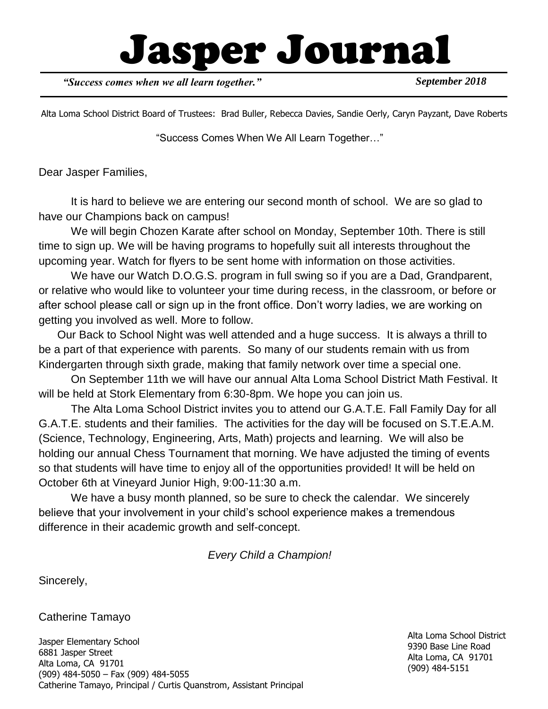# Jasper Journal

*"Success comes when we all learn together."*

*September 2018*

Alta Loma School District Board of Trustees: Brad Buller, Rebecca Davies, Sandie Oerly, Caryn Payzant, Dave Roberts

"Success Comes When We All Learn Together…"

Dear Jasper Families,

It is hard to believe we are entering our second month of school. We are so glad to have our Champions back on campus!

We will begin Chozen Karate after school on Monday, September 10th. There is still time to sign up. We will be having programs to hopefully suit all interests throughout the upcoming year. Watch for flyers to be sent home with information on those activities.

We have our Watch D.O.G.S. program in full swing so if you are a Dad, Grandparent, or relative who would like to volunteer your time during recess, in the classroom, or before or after school please call or sign up in the front office. Don't worry ladies, we are working on getting you involved as well. More to follow.

 Our Back to School Night was well attended and a huge success. It is always a thrill to be a part of that experience with parents. So many of our students remain with us from Kindergarten through sixth grade, making that family network over time a special one.

On September 11th we will have our annual Alta Loma School District Math Festival. It will be held at Stork Elementary from 6:30-8pm. We hope you can join us.

The Alta Loma School District invites you to attend our G.A.T.E. Fall Family Day for all G.A.T.E. students and their families. The activities for the day will be focused on S.T.E.A.M. (Science, Technology, Engineering, Arts, Math) projects and learning. We will also be holding our annual Chess Tournament that morning. We have adjusted the timing of events so that students will have time to enjoy all of the opportunities provided! It will be held on October 6th at Vineyard Junior High, 9:00-11:30 a.m.

We have a busy month planned, so be sure to check the calendar. We sincerely believe that your involvement in your child's school experience makes a tremendous difference in their academic growth and self-concept.

*Every Child a Champion!*

Sincerely,

Catherine Tamayo

Jasper Elementary School 6881 Jasper Street Alta Loma, CA 91701 (909) 484-5050 – Fax (909) 484-5055 Catherine Tamayo, Principal / Curtis Quanstrom, Assistant Principal Alta Loma School District 9390 Base Line Road Alta Loma, CA 91701 (909) 484-5151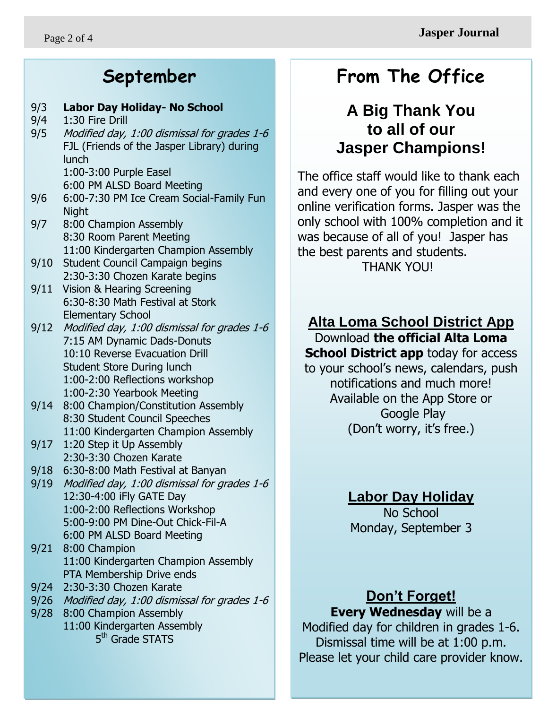### **September**

#### 9/3 **Labor Day Holiday- No School**

- 9/4 1:30 Fire Drill
- 9/5 Modified day, 1:00 dismissal for grades 1-6 FJL (Friends of the Jasper Library) during lunch 1:00-3:00 Purple Easel

6:00 PM ALSD Board Meeting

- 9/6 6:00-7:30 PM Ice Cream Social-Family Fun Night
- 9/7 8:00 Champion Assembly 8:30 Room Parent Meeting 11:00 Kindergarten Champion Assembly
- 9/10 Student Council Campaign begins 2:30-3:30 Chozen Karate begins
- 9/11 Vision & Hearing Screening 6:30-8:30 Math Festival at Stork Elementary School
- 9/12 Modified day, 1:00 dismissal for grades 1-6 7:15 AM Dynamic Dads-Donuts 10:10 Reverse Evacuation Drill Student Store During lunch 1:00-2:00 Reflections workshop 1:00-2:30 Yearbook Meeting
- 9/14 8:00 Champion/Constitution Assembly 8:30 Student Council Speeches 11:00 Kindergarten Champion Assembly
- 9/17 1:20 Step it Up Assembly 2:30-3:30 Chozen Karate
- 9/18 6:30-8:00 Math Festival at Banyan
- 9/19 Modified day, 1:00 dismissal for grades 1-6 12:30-4:00 iFly GATE Day 1:00-2:00 Reflections Workshop 5:00-9:00 PM Dine-Out Chick-Fil-A 6:00 PM ALSD Board Meeting
- 9/21 8:00 Champion 11:00 Kindergarten Champion Assembly PTA Membership Drive ends
- 9/24 2:30-3:30 Chozen Karate
- 9/26 Modified day, 1:00 dismissal for grades 1-6
- 9/28 8:00 Champion Assembly 11:00 Kindergarten Assembly 5<sup>th</sup> Grade STATS

### **From The Office**

#### ؙ **A Big Thank You to all of our Jasper Champions!**

The office staff would like to thank each and every one of you for filling out your online verification forms. Jasper was the only school with 100% completion and it was because of all of you! Jasper has the best parents and students. THANK YOU!

#### **Alta Loma School District App**

Download **the official Alta Loma School District app** today for access to your school's news, calendars, push notifications and much more! Available on the App Store or Google Play (Don't worry, it's free.)

#### **Labor Day Holiday**

No School Monday, September 3

#### **Don't Forget!**

**Every Wednesday** will be a

Modified day for children in grades 1-6. Dismissal time will be at 1:00 p.m. Please let your child care provider know.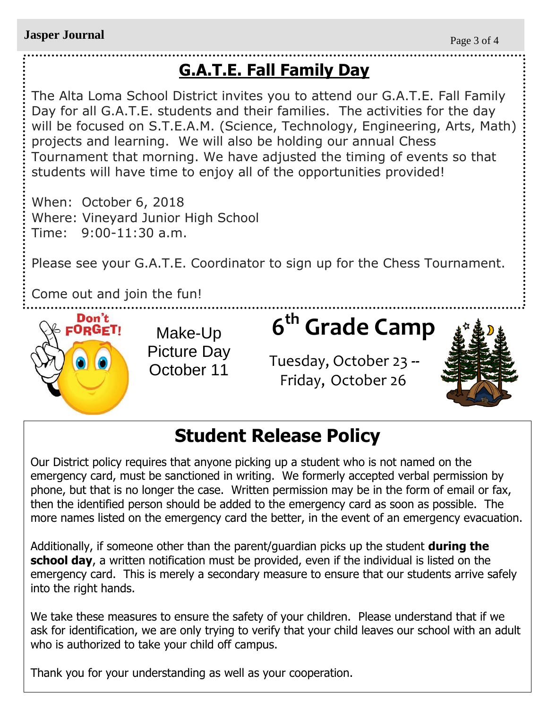# **G.A.T.E. Fall Family Day**

The Alta Loma School District invites you to attend our G.A.T.E. Fall Family Day for all G.A.T.E. students and their families. The activities for the day will be focused on S.T.E.A.M. (Science, Technology, Engineering, Arts, Math) projects and learning. We will also be holding our annual Chess Tournament that morning. We have adjusted the timing of events so that students will have time to enjoy all of the opportunities provided!

When: October 6, 2018 Where: Vineyard Junior High School Time: 9:00-11:30 a.m.

Please see your G.A.T.E. Coordinator to sign up for the Chess Tournament.

Come out and join the fun!



Make-Up Picture Day October 11

# **6 th Grade Camp**

 Tuesday, October 23 **--** Friday, October 26



# **Student Release Policy**

Our District policy requires that anyone picking up a student who is not named on the emergency card, must be sanctioned in writing. We formerly accepted verbal permission by phone, but that is no longer the case. Written permission may be in the form of email or fax, then the identified person should be added to the emergency card as soon as possible. The more names listed on the emergency card the better, in the event of an emergency evacuation.

Additionally, if someone other than the parent/guardian picks up the student **during the school day**, a written notification must be provided, even if the individual is listed on the emergency card. This is merely a secondary measure to ensure that our students arrive safely into the right hands.

We take these measures to ensure the safety of your children. Please understand that if we ask for identification, we are only trying to verify that your child leaves our school with an adult who is authorized to take your child off campus.

Thank you for your understanding as well as your cooperation.